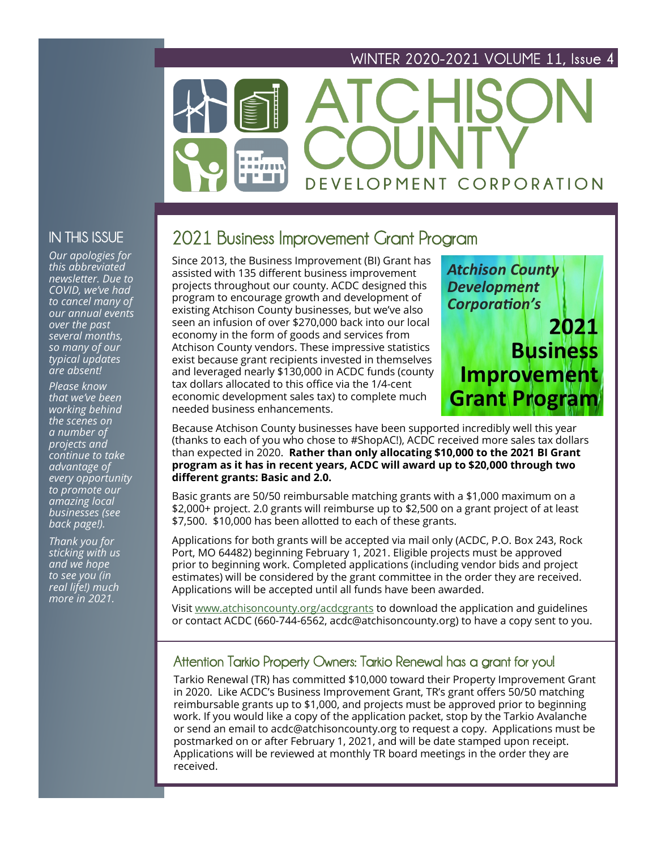## **WINTER 2020-2021 VOLUME 11, Issue 4**

# DEVELOPMENT CORPORATION

## **IN THIS ISSUE**

*Our apologies for this abbreviated newsletter. Due to COVID, we've had to cancel many of our annual events over the past several months, so many of our typical updates are absent!* 

*Please know that we've been working behind the scenes on a number of projects and continue to take advantage of every opportunity to promote our amazing local businesses (see back page!).* 

*Thank you for sticking with us and we hope to see you (in real life!) much more in 2021.*

# **2021 Business Improvement Grant Program**

Since 2013, the Business Improvement (BI) Grant has assisted with 135 different business improvement projects throughout our county. ACDC designed this program to encourage growth and development of existing Atchison County businesses, but we've also seen an infusion of over \$270,000 back into our local economy in the form of goods and services from Atchison County vendors. These impressive statistics exist because grant recipients invested in themselves and leveraged nearly \$130,000 in ACDC funds (county tax dollars allocated to this office via the 1/4-cent economic development sales tax) to complete much needed business enhancements.



Because Atchison County businesses have been supported incredibly well this year (thanks to each of you who chose to #ShopAC!), ACDC received more sales tax dollars than expected in 2020. **Rather than only allocating \$10,000 to the 2021 BI Grant program as it has in recent years, ACDC will award up to \$20,000 through two different grants: Basic and 2.0.** 

Basic grants are 50/50 reimbursable matching grants with a \$1,000 maximum on a \$2,000+ project. 2.0 grants will reimburse up to \$2,500 on a grant project of at least \$7,500. \$10,000 has been allotted to each of these grants.

Applications for both grants will be accepted via mail only (ACDC, P.O. Box 243, Rock Port, MO 64482) beginning February 1, 2021. Eligible projects must be approved prior to beginning work. Completed applications (including vendor bids and project estimates) will be considered by the grant committee in the order they are received. Applications will be accepted until all funds have been awarded.

Visit [www.atchisoncounty.org/acdcgrants](http://www.atchisoncounty.org/acdcgrants) to download the application and guidelines or contact ACDC (660-744-6562, acdc@atchisoncounty.org) to have a copy sent to you.

### **Attention Tarkio Property Owners: Tarkio Renewal has a grant for you!**

Tarkio Renewal (TR) has committed \$10,000 toward their Property Improvement Grant in 2020. Like ACDC's Business Improvement Grant, TR's grant offers 50/50 matching reimbursable grants up to \$1,000, and projects must be approved prior to beginning work. If you would like a copy of the application packet, stop by the Tarkio Avalanche or send an email to acdc@atchisoncounty.org to request a copy. Applications must be postmarked on or after February 1, 2021, and will be date stamped upon receipt. Applications will be reviewed at monthly TR board meetings in the order they are received.